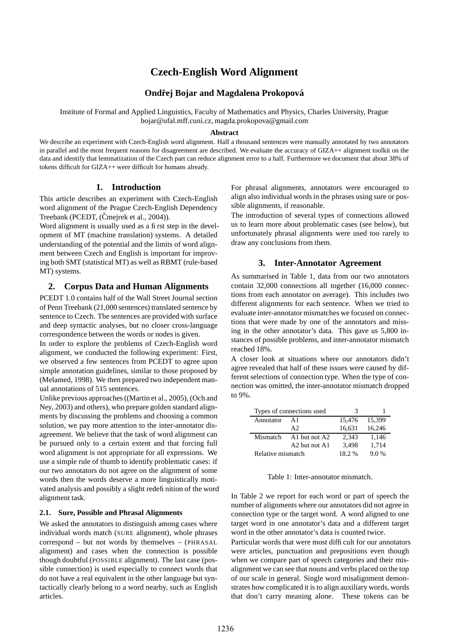# **Czech-English Word Alignment**

## **Ondrej ˇ Bojar and Magdalena Prokopova´**

Institute of Formal and Applied Linguistics, Faculty of Mathematics and Physics, Charles University, Prague bojar@ufal.mff.cuni.cz, magda.prokopova@gmail.com

#### **Abstract**

We describe an experiment with Czech-English word alignment. Half a thousand sentences were manually annotated by two annotators in parallel and the most frequent reasons for disagreement are described. We evaluate the accuracy of GIZA++ alignment toolkit on the data and identify that lemmatization of the Czech part can reduce alignment error to a half. Furthermore we document that about 38% of tokens difficult for GIZA++ were difficult for humans already.

## **1. Introduction**

This article describes an experiment with Czech-English word alignment of the Prague Czech-English Dependency Treebank (PCEDT, (Cmejrek et al., 2004)).

Word alignment is usually used as a first step in the development of MT (machine translation) systems. A detailed understanding of the potential and the limits of word alignment between Czech and English is important for improving both SMT (statistical MT) as well as RBMT (rule-based MT) systems.

#### **2. Corpus Data and Human Alignments**

PCEDT 1.0 contains half of the Wall Street Journal section of Penn Treebank (21,000 sentences) translated sentence by sentence to Czech. The sentences are provided with surface and deep syntactic analyses, but no closer cross-language correspondence between the words or nodes is given.

In order to explore the problems of Czech-English word alignment, we conducted the following experiment: First, we observed a few sentences from PCEDT to agree upon simple annotation guidelines, similar to those proposed by (Melamed, 1998). We then prepared two independent manual annotations of 515 sentences.

Unlike previous approaches((Martin et al., 2005), (Och and Ney, 2003) and others), who prepare golden standard alignments by discussing the problems and choosing a common solution, we pay more attention to the inter-annotator disagreement. We believe that the task of word alignment can be pursued only to a certain extent and that forcing full word alignment is not appropriate for all expressions. We use a simple rule of thumb to identify problematic cases: if our two annotators do not agree on the alignment of some words then the words deserve a more linguistically motivated analysis and possibly a slight redefinition of the word alignment task.

#### **2.1. Sure, Possible and Phrasal Alignments**

We asked the annotators to distinguish among cases where individual words match (SURE alignment), whole phrases correspond – but not words by themselves – (PHRASAL alignment) and cases when the connection is possible though doubtful (POSSIBLE alignment). The last case (possible connection) is used especially to connect words that do not have a real equivalent in the other language but syntactically clearly belong to a word nearby, such as English articles.

For phrasal alignments, annotators were encouraged to align also individual words in the phrases using sure or possible alignments, if reasonable.

The introduction of several types of connections allowed us to learn more about problematic cases (see below), but unfortunately phrasal alignments were used too rarely to draw any conclusions from them.

## **3. Inter-Annotator Agreement**

As summarised in Table 1, data from our two annotators contain 32,000 connections all together (16,000 connections from each annotator on average). This includes two different alignments for each sentence. When we tried to evaluate inter-annotator mismatches we focused on connections that were made by one of the annotators and missing in the other annotator's data. This gave us 5,800 instances of possible problems, and inter-annotator mismatch reached 18%.

A closer look at situations where our annotators didn't agree revealed that half of these issues were caused by different selections of connection type. When the type of connection was omitted, the inter-annotator mismatch dropped to 9%.

|                   | Types of connections used             | З      |        |
|-------------------|---------------------------------------|--------|--------|
| Annotator         | $\mathbf{A}$ 1                        | 15.476 | 15,399 |
|                   | A2                                    | 16,631 | 16,246 |
| Mismatch          | A1 but not A2                         | 2.343  | 1.146  |
|                   | A <sub>2</sub> but not A <sub>1</sub> | 3,498  | 1.714  |
| Relative mismatch |                                       | 18.2%  | 9.0%   |

Table 1: Inter-annotator mismatch.

In Table 2 we report for each word or part of speech the number of alignments where our annotators did not agree in connection type or the target word. A word aligned to one target word in one annotator's data and a different target word in the other annotator's data is counted twice.

Particular words that were most difficult for our annotators were articles, punctuation and prepositions even though when we compare part of speech categories and their misalignment we can see that nouns and verbs placed on the top of our scale in general. Single word misalignment demonstrates how complicated it is to align auxiliary words, words that don't carry meaning alone. These tokens can be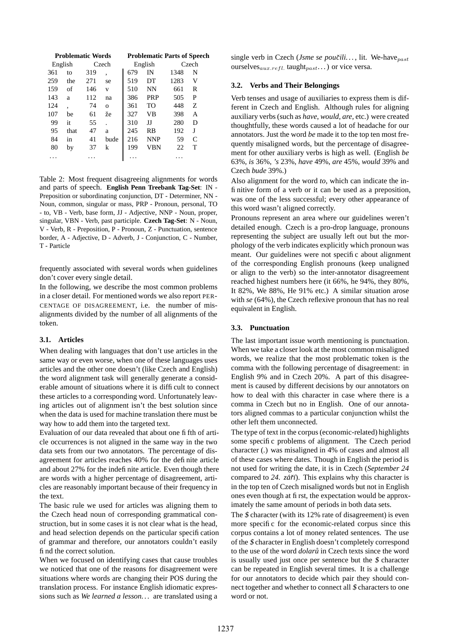| <b>Problematic Words</b> |         | <b>Problematic Parts of Speech</b> |          |     |            |      |       |
|--------------------------|---------|------------------------------------|----------|-----|------------|------|-------|
|                          | English |                                    | Czech    |     | English    |      | Czech |
| 361                      | to      | 319                                | ۰        | 679 | IN         | 1348 | N     |
| 259                      | the     | 271                                | se       | 519 | DT         | 1283 | V     |
| 159                      | of      | 146                                | v        | 510 | <b>NN</b>  | 661  | R     |
| 143                      | a       | 112                                | na       | 386 | <b>PRP</b> | 505  | P     |
| 124                      | ۰       | 74                                 | $\Omega$ | 361 | TO         | 448  | Z     |
| 107                      | be      | 61                                 | že       | 327 | VB         | 398  | A     |
| 99                       | it      | 55                                 |          | 310 | IJ         | 280  | D     |
| 95                       | that    | 47                                 | a        | 245 | <b>RB</b>  | 192  | J     |
| 84                       | 1n      | 41                                 | bude     | 216 | <b>NNP</b> | 59   | C     |
| 80                       | by      | 37                                 | k        | 199 | VBN        | 22   | т     |
|                          |         |                                    |          |     |            |      |       |

Table 2: Most frequent disagreeing alignments for words and parts of speech. **English Penn Treebank Tag-Set**: IN - Preposition or subordinating conjunction, DT - Determiner, NN - Noun, common, singular or mass, PRP - Pronoun, personal, TO - to, VB - Verb, base form, JJ - Adjective, NNP - Noun, proper, singular, VBN - Verb, past participle. **Czech Tag-Set**: N - Noun, V - Verb, R - Preposition, P - Pronoun, Z - Punctuation, sentence border, A - Adjective, D - Adverb, J - Conjunction, C - Number, T - Particle

frequently associated with several words when guidelines don't cover every single detail.

In the following, we describe the most common problems in a closer detail. For mentioned words we also report PER-CENTAGE OF DISAGREEMENT, i.e. the number of misalignments divided by the number of all alignments of the token.

#### **3.1. Articles**

When dealing with languages that don't use articles in the same way or even worse, when one of these languages uses articles and the other one doesn't (like Czech and English) the word alignment task will generally generate a considerable amount of situations where it is difficult to connect these articles to a corresponding word. Unfortunately leaving articles out of alignment isn't the best solution since when the data is used for machine translation there must be way how to add them into the targeted text.

Evaluation of our data revealed that about one fifth of article occurrences is not aligned in the same way in the two data sets from our two annotators. The percentage of disagreement for articles reaches 40% for the definite article and about 27% for the indefinite article. Even though there are words with a higher percentage of disagreement, articles are reasonably important because of their frequency in the text.

The basic rule we used for articles was aligning them to the Czech head noun of corresponding grammatical construction, but in some cases it is not clear what is the head, and head selection depends on the particular specification of grammar and therefore, our annotators couldn't easily find the correct solution.

When we focused on identifying cases that cause troubles we noticed that one of the reasons for disagreement were situations where words are changing their POS during the translation process. For instance English idiomatic expressions such as *We learned a lesson. . .* are translated using a

single verb in Czech (*Jsme se poučili...*, lit. We-have<sub>past</sub> ourselves $_{aux.refl.}$  taught $_{past.}$ ...) or vice versa.

#### **3.2. Verbs and Their Belongings**

Verb tenses and usage of auxiliaries to express them is different in Czech and English. Although rules for aligning auxiliary verbs(such as *have*, *would*, *are*, etc.) were created thoughtfully, these words caused a lot of headache for our annotators. Just the word *be* made it to the top ten most frequently misaligned words, but the percentage of disagreement for other auxiliary verbs is high as well. (English *be* 63%, *is* 36%, *'s* 23%, *have* 49%, *are* 45%, *would* 39% and Czech *bude* 39%.)

Also alignment for the word *to*, which can indicate the infinitive form of a verb or it can be used as a preposition, was one of the less successful; every other appearance of this word wasn't aligned correctly.

Pronouns represent an area where our guidelines weren't detailed enough. Czech is a pro-drop language, pronouns representing the subject are usually left out but the morphology of the verb indicates explicitly which pronoun was meant. Our guidelines were not specific about alignment of the corresponding English pronouns (keep unaligned or align to the verb) so the inter-annotator disagreement reached highest numbers here (it 66%, he 94%, they 80%, It 82%, We 88%, He 91% etc.) A similar situation arose with *se* (64%), the Czech reflexive pronoun that has no real equivalent in English.

#### **3.3. Punctuation**

The last important issue worth mentioning is punctuation. When we take a closer look at the most common misaligned words, we realize that the most problematic token is the comma with the following percentage of disagreement: in English 9% and in Czech 20%. A part of this disagreement is caused by different decisions by our annotators on how to deal with this character in case where there is a comma in Czech but no in English. One of our annotators aligned commas to a particular conjunction whilst the other left them unconnected.

The type of text in the corpus (economic-related) highlights some specific problems of alignment. The Czech period character (*.*) was misaligned in 4% of cases and almost all of these cases where dates. Though in English the period is not used for writing the date, it is in Czech (*September 24* compared to 24. *září*). This explains why this character is in the top ten of Czech misaligned words but not in English ones even though at first, the expectation would be approximately the same amount of periods in both data sets.

The  $$$  character (with its 12% rate of disagreement) is even more specific for the economic-related corpus since this corpus contains a lot of money related sentences. The use of the \$ character in English doesn't completely correspond to the use of the word *dolaru˚* in Czech texts since the word is usually used just once per sentence but the \$ character can be repeated in English several times. It is a challenge for our annotators to decide which pair they should connect together and whether to connect all \$ characters to one word or not.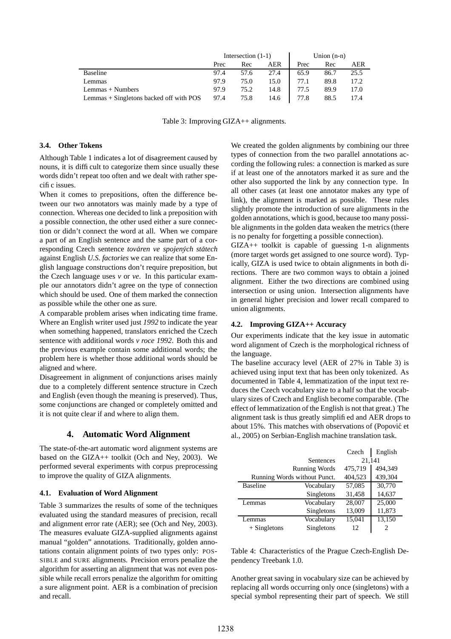|                                         | Intersection $(1-1)$ |      |      | Union $(n-n)$ |      |      |
|-----------------------------------------|----------------------|------|------|---------------|------|------|
|                                         | Prec                 | Rec  | AER  | Prec          | Rec  | AER  |
| <b>Baseline</b>                         | 97.4                 | 57.6 | 27.4 | 65.9          | 86.7 | 25.5 |
| Lemmas                                  | 97.9                 | 75.0 | 15.0 | 77.1          | 89.8 | 17.2 |
| Lemmas + Numbers                        | 97.9                 | 75.2 | 14.8 | 77.5          | 89.9 | 17.0 |
| Lemmas + Singletons backed off with POS | 97.4                 | 75.8 | 14.6 | 77.8          | 88.5 | 17.4 |

Table 3: Improving GIZA++ alignments.

## **3.4. Other Tokens**

Although Table 1 indicates a lot of disagreement caused by nouns, it is difficult to categorize them since usually these words didn't repeat too often and we dealt with rather specific issues.

When it comes to prepositions, often the difference between our two annotators was mainly made by a type of connection. Whereas one decided to link a preposition with a possible connection, the other used either a sure connection or didn't connect the word at all. When we compare a part of an English sentence and the same part of a corresponding Czech sentence *továren ve spojených státech* against English *U.S. factories* we can realize that some English language constructions don't require preposition, but the Czech language uses *v* or *ve*. In this particular example our annotators didn't agree on the type of connection which should be used. One of them marked the connection as possible while the other one as sure.

A comparable problem arises when indicating time frame. Where an English writer used just *1992* to indicate the year when something happened, translators enriched the Czech sentence with additional words *v roce 1992*. Both this and the previous example contain some additional words; the problem here is whether those additional words should be aligned and where.

Disagreement in alignment of conjunctions arises mainly due to a completely different sentence structure in Czech and English (even though the meaning is preserved). Thus, some conjunctions are changed or completely omitted and it is not quite clear if and where to align them.

## **4. Automatic Word Alignment**

The state-of-the-art automatic word alignment systems are based on the GIZA++ toolkit (Och and Ney, 2003). We performed several experiments with corpus preprocessing to improve the quality of GIZA alignments.

#### **4.1. Evaluation of Word Alignment**

Table 3 summarizes the results of some of the techniques evaluated using the standard measures of precision, recall and alignment error rate (AER); see (Och and Ney, 2003). The measures evaluate GIZA-supplied alignments against manual "golden" annotations. Traditionally, golden annotations contain alignment points of two types only: POS-SIBLE and SURE alignments. Precision errors penalize the algorithm for asserting an alignment that was not even possible while recall errors penalize the algorithm for omitting a sure alignment point. AER is a combination of precision and recall.

We created the golden alignments by combining our three types of connection from the two parallel annotations according the following rules: a connection is marked as sure if at least one of the annotators marked it as sure and the other also supported the link by any connection type. In all other cases (at least one annotator makes any type of link), the alignment is marked as possible. These rules slightly promote the introduction of sure alignments in the golden annotations, which is good, because too many possible alignments in the golden data weaken the metrics (there is no penalty for forgetting a possible connection).

GIZA++ toolkit is capable of guessing 1-n alignments (more target words get assigned to one source word). Typically, GIZA is used twice to obtain alignments in both directions. There are two common ways to obtain a joined alignment. Either the two directions are combined using intersection or using union. Intersection alignments have in general higher precision and lower recall compared to union alignments.

#### **4.2. Improving GIZA++ Accuracy**

Our experiments indicate that the key issue in automatic word alignment of Czech is the morphological richness of the language.

The baseline accuracy level (AER of 27% in Table 3) is achieved using input text that has been only tokenized. As documented in Table 4, lemmatization of the input text reduces the Czech vocabulary size to a half so that the vocabulary sizes of Czech and English become comparable. (The effect of lemmatization of the English is not that great.) The alignment task is thus greatly simplified and AER drops to about 15%. This matches with observations of (Popović et al., 2005) on Serbian-English machine translation task.

|                              |            | Czech   | English |  |
|------------------------------|------------|---------|---------|--|
| Sentences                    |            | 21,141  |         |  |
| <b>Running Words</b>         | 475,719    | 494.349 |         |  |
| Running Words without Punct. | 404,523    | 439,304 |         |  |
| <b>Baseline</b>              | Vocabulary | 57,085  | 30,770  |  |
|                              | Singletons | 31,458  | 14,637  |  |
| Lemmas                       | Vocabulary | 28,007  | 25,000  |  |
|                              | Singletons | 13,009  | 11,873  |  |
| Lemmas                       | Vocabulary | 15,041  | 13,150  |  |
| $+$ Singletons               | Singletons | 12      | 2       |  |

Table 4: Characteristics of the Prague Czech-English Dependency Treebank 1.0.

Another great saving in vocabulary size can be achieved by replacing all words occurring only once (singletons) with a special symbol representing their part of speech. We still